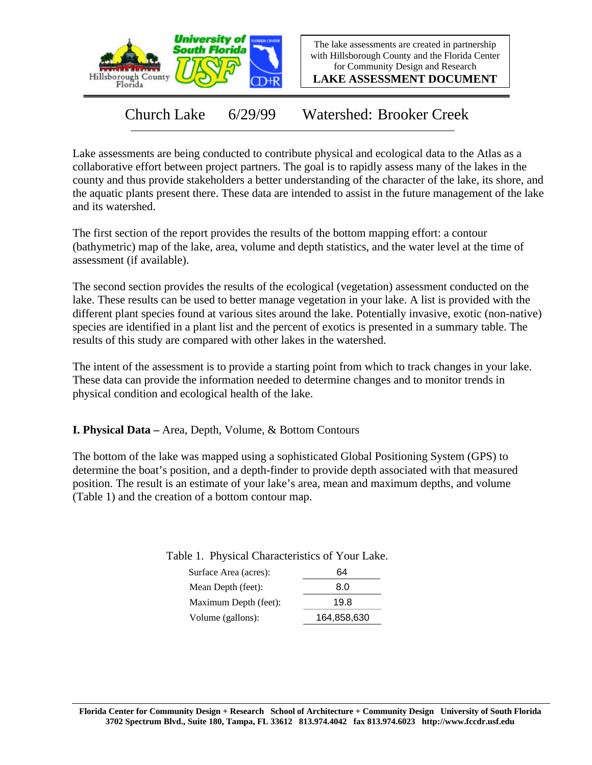

The lake assessments are created in partnership with Hillsborough County and the Florida Center for Community Design and Research

**LAKE ASSESSMENT DOCUMENT**

Church Lake 6/29/99 Watershed: Brooker Creek

Lake assessments are being conducted to contribute physical and ecological data to the Atlas as a collaborative effort between project partners. The goal is to rapidly assess many of the lakes in the county and thus provide stakeholders a better understanding of the character of the lake, its shore, and the aquatic plants present there. These data are intended to assist in the future management of the lake and its watershed.

The first section of the report provides the results of the bottom mapping effort: a contour (bathymetric) map of the lake, area, volume and depth statistics, and the water level at the time of assessment (if available).

The second section provides the results of the ecological (vegetation) assessment conducted on the lake. These results can be used to better manage vegetation in your lake. A list is provided with the different plant species found at various sites around the lake. Potentially invasive, exotic (non-native) species are identified in a plant list and the percent of exotics is presented in a summary table. The results of this study are compared with other lakes in the watershed.

The intent of the assessment is to provide a starting point from which to track changes in your lake. These data can provide the information needed to determine changes and to monitor trends in physical condition and ecological health of the lake.

**I. Physical Data –** Area, Depth, Volume, & Bottom Contours

The bottom of the lake was mapped using a sophisticated Global Positioning System (GPS) to determine the boat's position, and a depth-finder to provide depth associated with that measured position. The result is an estimate of your lake's area, mean and maximum depths, and volume (Table 1) and the creation of a bottom contour map.

Table 1. Physical Characteristics of Your Lake.

| 64          |
|-------------|
| 8.0         |
| 19.8        |
| 164,858,630 |
|             |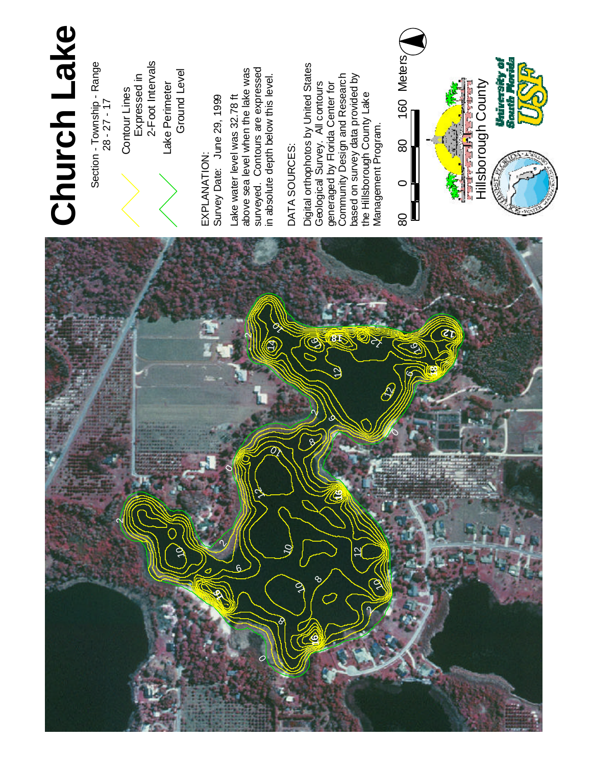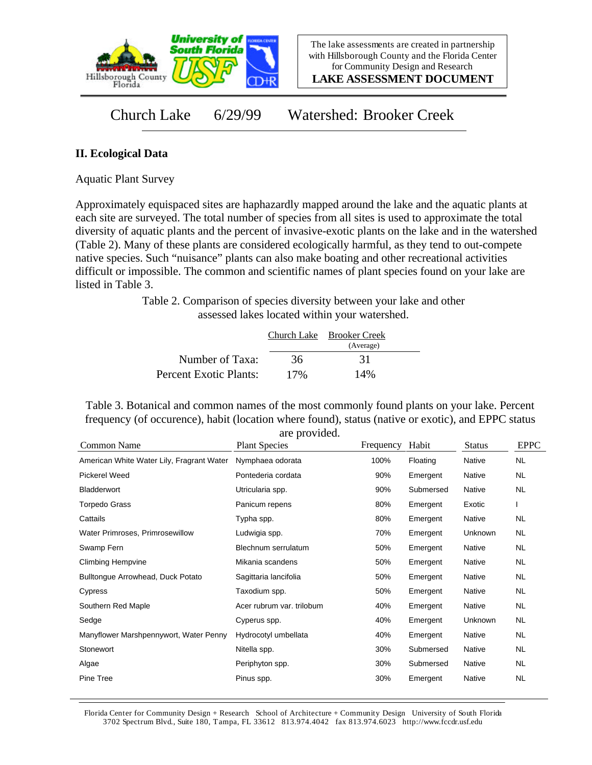

**LAKE ASSESSMENT DOCUMENT**

Church Lake 6/29/99 Watershed: Brooker Creek

## **II. Ecological Data**

Aquatic Plant Survey

Approximately equispaced sites are haphazardly mapped around the lake and the aquatic plants at each site are surveyed. The total number of species from all sites is used to approximate the total diversity of aquatic plants and the percent of invasive-exotic plants on the lake and in the watershed (Table 2). Many of these plants are considered ecologically harmful, as they tend to out-compete native species. Such "nuisance" plants can also make boating and other recreational activities difficult or impossible. The common and scientific names of plant species found on your lake are listed in Table 3.

> Table 2. Comparison of species diversity between your lake and other assessed lakes located within your watershed.

|                        |     | Church Lake Brooker Creek |  |
|------------------------|-----|---------------------------|--|
|                        |     | (Average)                 |  |
| Number of Taxa:        | 36  | 31                        |  |
| Percent Exotic Plants: | 17% | 14%                       |  |

Table 3. Botanical and common names of the most commonly found plants on your lake. Percent frequency (of occurence), habit (location where found), status (native or exotic), and EPPC status are provided.

| Common Name                               | are provided.<br><b>Plant Species</b> | Frequency | Habit     | <b>Status</b> | <b>EPPC</b> |
|-------------------------------------------|---------------------------------------|-----------|-----------|---------------|-------------|
| American White Water Lily, Fragrant Water | Nymphaea odorata                      | 100%      | Floating  | Native        | NL.         |
| Pickerel Weed                             | Pontederia cordata                    | 90%       | Emergent  | Native        | <b>NL</b>   |
| Bladderwort                               | Utricularia spp.                      | 90%       | Submersed | Native        | <b>NL</b>   |
| Torpedo Grass                             | Panicum repens                        | 80%       | Emergent  | Exotic        |             |
| Cattails                                  | Typha spp.                            | 80%       | Emergent  | Native        | <b>NL</b>   |
| Water Primroses, Primrosewillow           | Ludwigia spp.                         | 70%       | Emergent  | Unknown       | <b>NL</b>   |
| Swamp Fern                                | Blechnum serrulatum                   | 50%       | Emergent  | Native        | NL.         |
| <b>Climbing Hempvine</b>                  | Mikania scandens                      | 50%       | Emergent  | Native        | NL.         |
| Bulltongue Arrowhead, Duck Potato         | Sagittaria lancifolia                 | 50%       | Emergent  | Native        | <b>NL</b>   |
| Cypress                                   | Taxodium spp.                         | 50%       | Emergent  | Native        | NL.         |
| Southern Red Maple                        | Acer rubrum var. trilobum             | 40%       | Emergent  | Native        | <b>NL</b>   |
| Sedge                                     | Cyperus spp.                          | 40%       | Emergent  | Unknown       | <b>NL</b>   |
| Manyflower Marshpennywort, Water Penny    | Hydrocotyl umbellata                  | 40%       | Emergent  | Native        | NL.         |
| Stonewort                                 | Nitella spp.                          | 30%       | Submersed | Native        | <b>NL</b>   |
| Algae                                     | Periphyton spp.                       | 30%       | Submersed | Native        | NL.         |
| Pine Tree                                 | Pinus spp.                            | 30%       | Emergent  | Native        | <b>NL</b>   |
|                                           |                                       |           |           |               |             |

Florida Center for Community Design + Research School of Architecture + Community Design University of South Florida 3702 Spectrum Blvd., Suite 180, Tampa, FL 33612 813.974.4042 fax 813.974.6023 http://www.fccdr.usf.edu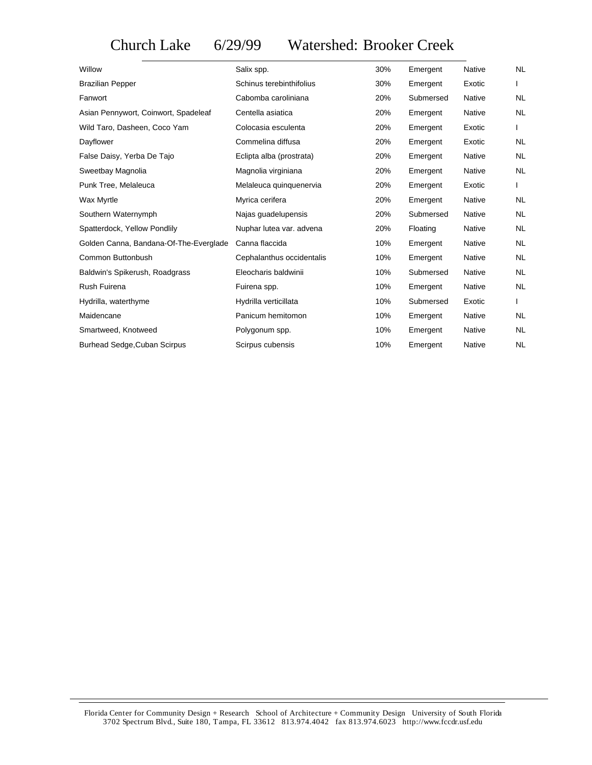Church Lake 6/29/99 Watershed: Brooker Creek

| Willow                                 | Salix spp.                | 30% | Emergent  | <b>Native</b> | <b>NL</b> |
|----------------------------------------|---------------------------|-----|-----------|---------------|-----------|
| <b>Brazilian Pepper</b>                | Schinus terebinthifolius  | 30% | Emergent  | Exotic        |           |
| Fanwort                                | Cabomba caroliniana       | 20% | Submersed | <b>Native</b> | <b>NL</b> |
| Asian Pennywort, Coinwort, Spadeleaf   | Centella asiatica         | 20% | Emergent  | <b>Native</b> | <b>NL</b> |
| Wild Taro, Dasheen, Coco Yam           | Colocasia esculenta       | 20% | Emergent  | Exotic        |           |
| Dayflower                              | Commelina diffusa         | 20% | Emergent  | Exotic        | <b>NL</b> |
| False Daisy, Yerba De Tajo             | Eclipta alba (prostrata)  | 20% | Emergent  | Native        | <b>NL</b> |
| Sweetbay Magnolia                      | Magnolia virginiana       | 20% | Emergent  | Native        | <b>NL</b> |
| Punk Tree, Melaleuca                   | Melaleuca quinquenervia   | 20% | Emergent  | Exotic        |           |
| Wax Myrtle                             | Myrica cerifera           | 20% | Emergent  | <b>Native</b> | <b>NL</b> |
| Southern Waternymph                    | Najas quadelupensis       | 20% | Submersed | <b>Native</b> | <b>NL</b> |
| Spatterdock, Yellow Pondlily           | Nuphar lutea var. advena  | 20% | Floating  | Native        | <b>NL</b> |
| Golden Canna, Bandana-Of-The-Everglade | Canna flaccida            | 10% | Emergent  | <b>Native</b> | <b>NL</b> |
| Common Buttonbush                      | Cephalanthus occidentalis | 10% | Emergent  | Native        | <b>NL</b> |
| Baldwin's Spikerush, Roadgrass         | Eleocharis baldwinii      | 10% | Submersed | <b>Native</b> | <b>NL</b> |
| Rush Fuirena                           | Fuirena spp.              | 10% | Emergent  | <b>Native</b> | <b>NL</b> |
| Hydrilla, waterthyme                   | Hydrilla verticillata     | 10% | Submersed | Exotic        |           |
| Maidencane                             | Panicum hemitomon         | 10% | Emergent  | <b>Native</b> | <b>NL</b> |
| Smartweed, Knotweed                    | Polygonum spp.            | 10% | Emergent  | <b>Native</b> | <b>NL</b> |
| Burhead Sedge, Cuban Scirpus           | Scirpus cubensis          | 10% | Emergent  | <b>Native</b> | <b>NL</b> |

Florida Center for Community Design + Research School of Architecture + Community Design University of South Florida 3702 Spectrum Blvd., Suite 180, Tampa, FL 33612 813.974.4042 fax 813.974.6023 http://www.fccdr.usf.edu